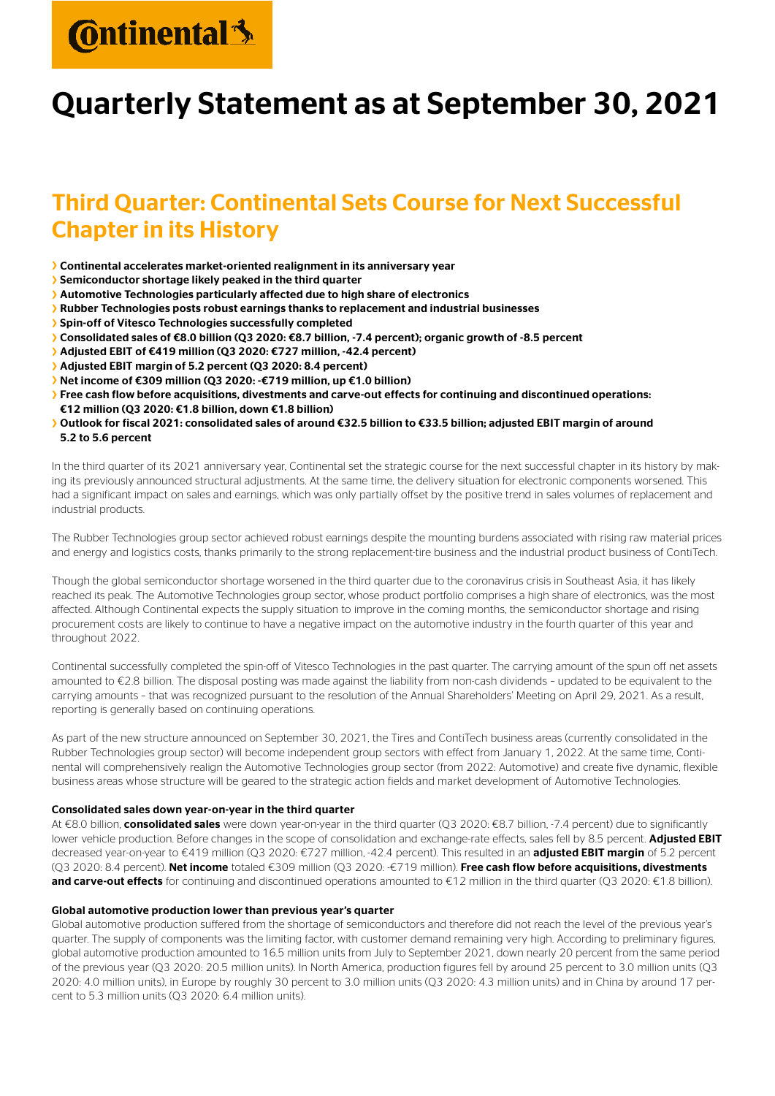# **C**ntinental<sup>3</sup>

### Quarterly Statement as at September 30, 2021

### Third Quarter: Continental Sets Course for Next Successful Chapter in its History

- › Continental accelerates market-oriented realignment in its anniversary year
- › Semiconductor shortage likely peaked in the third quarter
- › Automotive Technologies particularly affected due to high share of electronics
- › Rubber Technologies posts robust earnings thanks to replacement and industrial businesses
- › Spin-off of Vitesco Technologies successfully completed
- › Consolidated sales of €8.0 billion (Q3 2020: €8.7 billion, -7.4 percent); organic growth of -8.5 percent
- › Adjusted EBIT of €419 million (Q3 2020: €727 million, -42.4 percent)
- › Adjusted EBIT margin of 5.2 percent (Q3 2020: 8.4 percent)
- › Net income of €309 million (Q3 2020: -€719 million, up €1.0 billion)
- › Free cash flow before acquisitions, divestments and carve-out effects for continuing and discontinued operations: €12 million (Q3 2020: €1.8 billion, down €1.8 billion)
- › Outlook for fiscal 2021: consolidated sales of around €32.5 billion to €33.5 billion; adjusted EBIT margin of around 5.2 to 5.6 percent

In the third quarter of its 2021 anniversary year, Continental set the strategic course for the next successful chapter in its history by making its previously announced structural adjustments. At the same time, the delivery situation for electronic components worsened. This had a significant impact on sales and earnings, which was only partially offset by the positive trend in sales volumes of replacement and industrial products.

The Rubber Technologies group sector achieved robust earnings despite the mounting burdens associated with rising raw material prices and energy and logistics costs, thanks primarily to the strong replacement-tire business and the industrial product business of ContiTech.

Though the global semiconductor shortage worsened in the third quarter due to the coronavirus crisis in Southeast Asia, it has likely reached its peak. The Automotive Technologies group sector, whose product portfolio comprises a high share of electronics, was the most affected. Although Continental expects the supply situation to improve in the coming months, the semiconductor shortage and rising procurement costs are likely to continue to have a negative impact on the automotive industry in the fourth quarter of this year and throughout 2022.

Continental successfully completed the spin-off of Vitesco Technologies in the past quarter. The carrying amount of the spun off net assets amounted to €2.8 billion. The disposal posting was made against the liability from non-cash dividends – updated to be equivalent to the carrying amounts – that was recognized pursuant to the resolution of the Annual Shareholders' Meeting on April 29, 2021. As a result, reporting is generally based on continuing operations.

As part of the new structure announced on September 30, 2021, the Tires and ContiTech business areas (currently consolidated in the Rubber Technologies group sector) will become independent group sectors with effect from January 1, 2022. At the same time, Continental will comprehensively realign the Automotive Technologies group sector (from 2022: Automotive) and create five dynamic, flexible business areas whose structure will be geared to the strategic action fields and market development of Automotive Technologies.

#### Consolidated sales down year-on-year in the third quarter

At €8.0 billion, consolidated sales were down year-on-year in the third quarter (Q3 2020: €8.7 billion, -7.4 percent) due to significantly lower vehicle production. Before changes in the scope of consolidation and exchange-rate effects, sales fell by 8.5 percent. Adjusted EBIT decreased year-on-year to €419 million (Q3 2020: €727 million, -42.4 percent). This resulted in an adjusted EBIT margin of 5.2 percent (Q3 2020: 8.4 percent). Net income totaled €309 million (Q3 2020: -€719 million). Free cash flow before acquisitions, divestments and carve-out effects for continuing and discontinued operations amounted to €12 million in the third quarter (Q3 2020: €1.8 billion).

#### Global automotive production lower than previous year's quarter

Global automotive production suffered from the shortage of semiconductors and therefore did not reach the level of the previous year's quarter. The supply of components was the limiting factor, with customer demand remaining very high. According to preliminary figures, global automotive production amounted to 16.5 million units from July to September 2021, down nearly 20 percent from the same period of the previous year (Q3 2020: 20.5 million units). In North America, production figures fell by around 25 percent to 3.0 million units (Q3 2020: 4.0 million units), in Europe by roughly 30 percent to 3.0 million units (Q3 2020: 4.3 million units) and in China by around 17 percent to 5.3 million units (Q3 2020: 6.4 million units).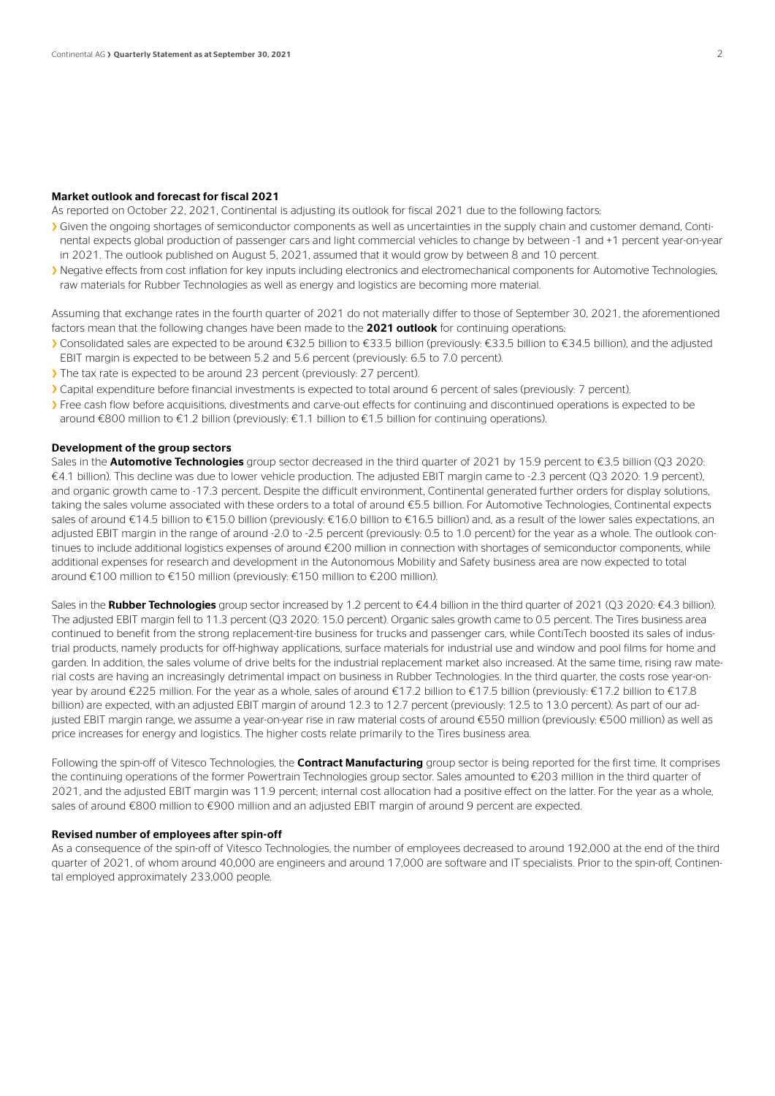#### Market outlook and forecast for fiscal 2021

As reported on October 22, 2021, Continental is adjusting its outlook for fiscal 2021 due to the following factors:

- › Given the ongoing shortages of semiconductor components as well as uncertainties in the supply chain and customer demand, Continental expects global production of passenger cars and light commercial vehicles to change by between -1 and +1 percent year-on-year in 2021. The outlook published on August 5, 2021, assumed that it would grow by between 8 and 10 percent.
- › Negative effects from cost inflation for key inputs including electronics and electromechanical components for Automotive Technologies, raw materials for Rubber Technologies as well as energy and logistics are becoming more material.

Assuming that exchange rates in the fourth quarter of 2021 do not materially differ to those of September 30, 2021, the aforementioned factors mean that the following changes have been made to the 2021 outlook for continuing operations:

- › Consolidated sales are expected to be around €32.5 billion to €33.5 billion (previously: €33.5 billion to €34.5 billion), and the adjusted EBIT margin is expected to be between 5.2 and 5.6 percent (previously: 6.5 to 7.0 percent).
- › The tax rate is expected to be around 23 percent (previously: 27 percent).
- › Capital expenditure before financial investments is expected to total around 6 percent of sales (previously: 7 percent).
- > Free cash flow before acquisitions, divestments and carve-out effects for continuing and discontinued operations is expected to be around €800 million to €1.2 billion (previously: €1.1 billion to €1.5 billion for continuing operations).

#### Development of the group sectors

Sales in the **Automotive Technologies** group sector decreased in the third quarter of 2021 by 15.9 percent to  $\epsilon$ 3.5 billion (Q3 2020: €4.1 billion). This decline was due to lower vehicle production. The adjusted EBIT margin came to -2.3 percent (Q3 2020: 1.9 percent), and organic growth came to -17.3 percent. Despite the difficult environment, Continental generated further orders for display solutions, taking the sales volume associated with these orders to a total of around €5.5 billion. For Automotive Technologies, Continental expects sales of around €14.5 billion to €15.0 billion (previously: €16.0 billion to €16.5 billion) and, as a result of the lower sales expectations, an adjusted EBIT margin in the range of around -2.0 to -2.5 percent (previously: 0.5 to 1.0 percent) for the year as a whole. The outlook continues to include additional logistics expenses of around €200 million in connection with shortages of semiconductor components, while additional expenses for research and development in the Autonomous Mobility and Safety business area are now expected to total around €100 million to €150 million (previously: €150 million to €200 million).

Sales in the **Rubber Technologies** group sector increased by 1.2 percent to €4.4 billion in the third quarter of 2021 (Q3 2020: €4.3 billion). The adjusted EBIT margin fell to 11.3 percent (Q3 2020: 15.0 percent). Organic sales growth came to 0.5 percent. The Tires business area continued to benefit from the strong replacement-tire business for trucks and passenger cars, while ContiTech boosted its sales of industrial products, namely products for off-highway applications, surface materials for industrial use and window and pool films for home and garden. In addition, the sales volume of drive belts for the industrial replacement market also increased. At the same time, rising raw material costs are having an increasingly detrimental impact on business in Rubber Technologies. In the third quarter, the costs rose year-onyear by around €225 million. For the year as a whole, sales of around €17.2 billion to €17.5 billion (previously: €17.2 billion to €17.8 billion) are expected, with an adjusted EBIT margin of around 12.3 to 12.7 percent (previously: 12.5 to 13.0 percent). As part of our adjusted EBIT margin range, we assume a year-on-year rise in raw material costs of around €550 million (previously: €500 million) as well as price increases for energy and logistics. The higher costs relate primarily to the Tires business area.

Following the spin-off of Vitesco Technologies, the **Contract Manufacturing** group sector is being reported for the first time. It comprises the continuing operations of the former Powertrain Technologies group sector. Sales amounted to €203 million in the third quarter of 2021, and the adjusted EBIT margin was 11.9 percent; internal cost allocation had a positive effect on the latter. For the year as a whole, sales of around €800 million to €900 million and an adjusted EBIT margin of around 9 percent are expected.

#### Revised number of employees after spin-off

As a consequence of the spin-off of Vitesco Technologies, the number of employees decreased to around 192,000 at the end of the third quarter of 2021, of whom around 40,000 are engineers and around 17,000 are software and IT specialists. Prior to the spin-off, Continental employed approximately 233,000 people.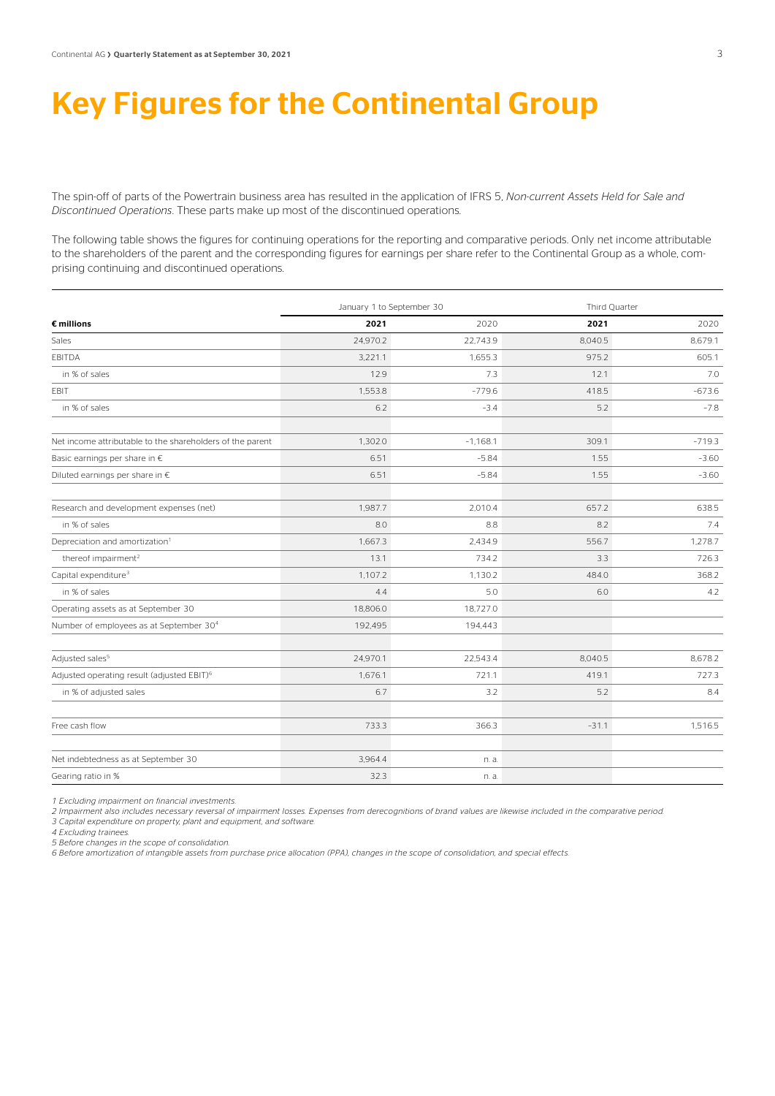### Key Figures for the Continental Group

The spin-off of parts of the Powertrain business area has resulted in the application of IFRS 5, *Non-current Assets Held for Sale and Discontinued Operations*. These parts make up most of the discontinued operations.

The following table shows the figures for continuing operations for the reporting and comparative periods. Only net income attributable to the shareholders of the parent and the corresponding figures for earnings per share refer to the Continental Group as a whole, comprising continuing and discontinued operations.

|                                                           | January 1 to September 30 |            | Third Quarter |          |  |
|-----------------------------------------------------------|---------------------------|------------|---------------|----------|--|
| $\epsilon$ millions                                       | 2021                      | 2020       | 2021          | 2020     |  |
| Sales                                                     | 24,970.2                  | 22,743.9   | 8,040.5       | 8,679.1  |  |
| EBITDA                                                    | 3,221.1                   | 1,655.3    | 975.2         | 605.1    |  |
| in % of sales                                             | 12.9                      | 7.3        | 12.1          | 7.0      |  |
| EBIT                                                      | 1,553.8                   | $-779.6$   | 418.5         | $-673.6$ |  |
| in % of sales                                             | 6.2                       | $-3.4$     | 5.2           | $-7.8$   |  |
| Net income attributable to the shareholders of the parent | 1,302.0                   | $-1,168.1$ | 309.1         | $-719.3$ |  |
| Basic earnings per share in €                             | 6.51                      | $-5.84$    | 1.55          | $-3.60$  |  |
| Diluted earnings per share in €                           | 6.51                      | $-5.84$    | 1.55          | $-3.60$  |  |
| Research and development expenses (net)                   | 1,987.7                   | 2,010.4    | 657.2         | 638.5    |  |
| in % of sales                                             | 8.0                       | 8.8        | 8.2           | 7.4      |  |
| Depreciation and amortization <sup>1</sup>                | 1,667.3                   | 2,434.9    | 556.7         | 1,278.7  |  |
| thereof impairment <sup>2</sup>                           | 13.1                      | 734.2      | 3.3           | 726.3    |  |
| Capital expenditure <sup>3</sup>                          | 1,107.2                   | 1,130.2    | 484.0         | 368.2    |  |
| in % of sales                                             | 4.4                       | 5.0        | 6.0           | 4.2      |  |
| Operating assets as at September 30                       | 18,806.0                  | 18,727.0   |               |          |  |
| Number of employees as at September 30 <sup>4</sup>       | 192,495                   | 194,443    |               |          |  |
| Adjusted sales <sup>5</sup>                               | 24,970.1                  | 22,543.4   | 8,040.5       | 8,678.2  |  |
| Adjusted operating result (adjusted EBIT) <sup>6</sup>    | 1,676.1                   | 721.1      | 419.1         | 727.3    |  |
| in % of adjusted sales                                    | 6.7                       | 3.2        | 5.2           | 8.4      |  |
| Free cash flow                                            | 733.3                     | 366.3      | $-31.1$       | 1,516.5  |  |
| Net indebtedness as at September 30                       | 3,964.4                   | n. a.      |               |          |  |
| Gearing ratio in %                                        | 32.3                      | n. a.      |               |          |  |

*1 Excluding impairment on financial investments.* 

*2 Impairment also includes necessary reversal of impairment losses. Expenses from derecognitions of brand values are likewise included in the comparative period.* 

*3 Capital expenditure on property, plant and equipment, and software.* 

*4 Excluding trainees.* 

*5 Before changes in the scope of consolidation.*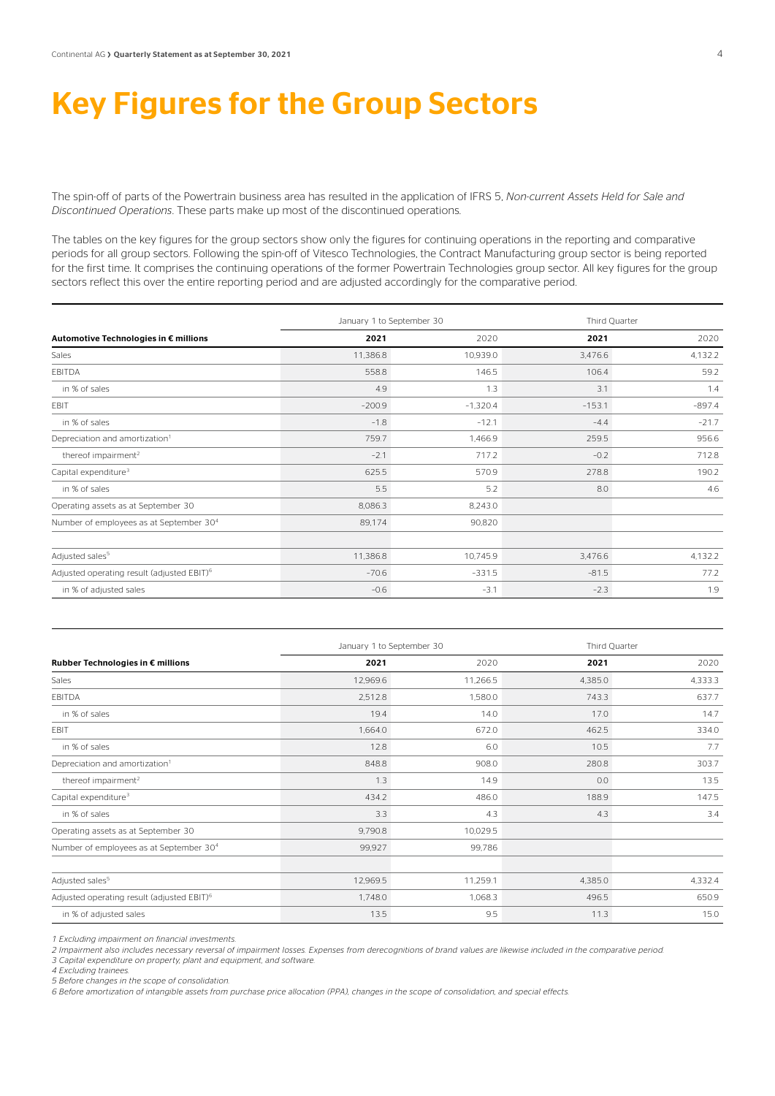## Key Figures for the Group Sectors

The spin-off of parts of the Powertrain business area has resulted in the application of IFRS 5, *Non-current Assets Held for Sale and Discontinued Operations*. These parts make up most of the discontinued operations.

The tables on the key figures for the group sectors show only the figures for continuing operations in the reporting and comparative periods for all group sectors. Following the spin-off of Vitesco Technologies, the Contract Manufacturing group sector is being reported for the first time. It comprises the continuing operations of the former Powertrain Technologies group sector. All key figures for the group sectors reflect this over the entire reporting period and are adjusted accordingly for the comparative period.

|                                                        |          | January 1 to September 30 | Third Quarter |          |
|--------------------------------------------------------|----------|---------------------------|---------------|----------|
| Automotive Technologies in € millions                  | 2021     | 2020                      | 2021          | 2020     |
| Sales                                                  | 11,386.8 | 10,939.0                  | 3,476.6       | 4,132.2  |
| EBITDA                                                 | 558.8    | 146.5                     | 106.4         | 59.2     |
| in % of sales                                          | 4.9      | 1.3                       | 3.1           | 1.4      |
| EBIT                                                   | $-200.9$ | $-1,320.4$                | $-153.1$      | $-897.4$ |
| in % of sales                                          | $-1.8$   | $-12.1$                   | $-4.4$        | $-21.7$  |
| Depreciation and amortization <sup>1</sup>             | 759.7    | 1,466.9                   | 259.5         | 956.6    |
| thereof impairment <sup>2</sup>                        | $-2.1$   | 717.2                     | $-0.2$        | 712.8    |
| Capital expenditure <sup>3</sup>                       | 625.5    | 570.9                     | 278.8         | 190.2    |
| in % of sales                                          | 5.5      | 5.2                       | 8.0           | 4.6      |
| Operating assets as at September 30                    | 8,086.3  | 8,243.0                   |               |          |
| Number of employees as at September 30 <sup>4</sup>    | 89,174   | 90,820                    |               |          |
|                                                        |          |                           |               |          |
| Adjusted sales <sup>5</sup>                            | 11,386.8 | 10,745.9                  | 3,476.6       | 4,132.2  |
| Adjusted operating result (adjusted EBIT) <sup>6</sup> | $-70.6$  | $-331.5$                  | $-81.5$       | 77.2     |
| in % of adjusted sales                                 | $-0.6$   | $-3.1$                    | $-2.3$        | 1.9      |

|                                                        |          | January 1 to September 30 |         | Third Quarter |  |
|--------------------------------------------------------|----------|---------------------------|---------|---------------|--|
| Rubber Technologies in € millions                      | 2021     | 2020                      | 2021    | 2020          |  |
| Sales                                                  | 12,969.6 | 11,266.5                  | 4,385.0 | 4,333.3       |  |
| EBITDA                                                 | 2,512.8  | 1,580.0                   | 743.3   | 637.7         |  |
| in % of sales                                          | 19.4     | 14.0                      | 17.0    | 14.7          |  |
| EBIT                                                   | 1,664.0  | 672.0                     | 462.5   | 334.0         |  |
| in % of sales                                          | 12.8     | 6.0                       | 10.5    | 7.7           |  |
| Depreciation and amortization <sup>1</sup>             | 848.8    | 908.0                     | 280.8   | 303.7         |  |
| thereof impairment <sup>2</sup>                        | 1.3      | 14.9                      | 0.0     | 13.5          |  |
| Capital expenditure <sup>3</sup>                       | 434.2    | 486.0                     | 188.9   | 147.5         |  |
| in % of sales                                          | 3.3      | 4.3                       | 4.3     | 3.4           |  |
| Operating assets as at September 30                    | 9,790.8  | 10,029.5                  |         |               |  |
| Number of employees as at September 30 <sup>4</sup>    | 99,927   | 99,786                    |         |               |  |
|                                                        |          |                           |         |               |  |
| Adjusted sales <sup>5</sup>                            | 12,969.5 | 11,259.1                  | 4,385.0 | 4,332.4       |  |
| Adjusted operating result (adjusted EBIT) <sup>6</sup> | 1,748.0  | 1,068.3                   | 496.5   | 650.9         |  |
| in % of adjusted sales                                 | 13.5     | 9.5                       | 11.3    | 15.0          |  |

*1 Excluding impairment on financial investments.* 

*2 Impairment also includes necessary reversal of impairment losses. Expenses from derecognitions of brand values are likewise included in the comparative period. 3 Capital expenditure on property, plant and equipment, and software.* 

*4 Excluding trainees.* 

*5 Before changes in the scope of consolidation.*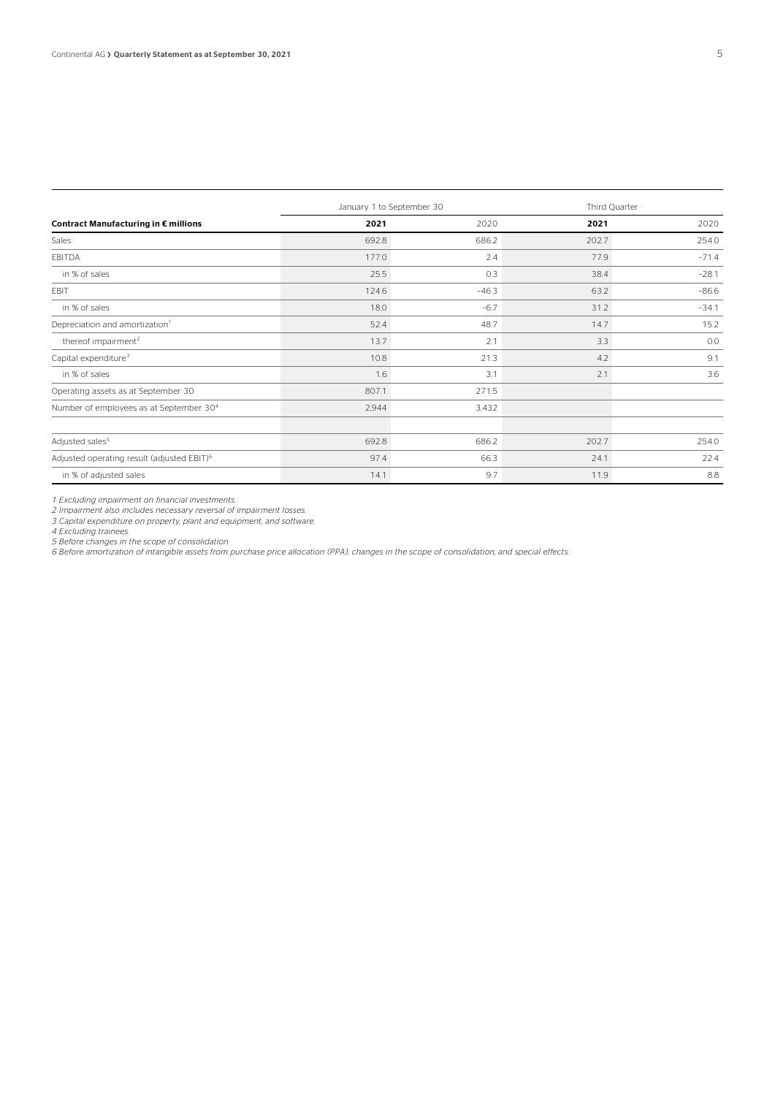|                                                        |       | January 1 to September 30 | Third Quarter |         |  |
|--------------------------------------------------------|-------|---------------------------|---------------|---------|--|
| Contract Manufacturing in € millions                   | 2021  | 2020                      | 2021          | 2020    |  |
| Sales                                                  | 692.8 | 686.2                     | 202.7         | 254.0   |  |
| EBITDA                                                 | 177.0 | 2.4                       | 77.9          | $-71.4$ |  |
| in % of sales                                          | 25.5  | 0.3                       | 38.4          | $-28.1$ |  |
| EBIT                                                   | 124.6 | $-46.3$                   | 63.2          | $-86.6$ |  |
| in % of sales                                          | 18.0  | $-6.7$                    | 31.2          | $-34.1$ |  |
| Depreciation and amortization <sup>1</sup>             | 52.4  | 48.7                      | 14.7          | 15.2    |  |
| thereof impairment <sup>2</sup>                        | 13.7  | 2.1                       | 3.3           | 0.0     |  |
| Capital expenditure <sup>3</sup>                       | 10.8  | 21.3                      | 4.2           | 9.1     |  |
| in % of sales                                          | 1.6   | 3.1                       | 2.1           | 3.6     |  |
| Operating assets as at September 30                    | 807.1 | 271.5                     |               |         |  |
| Number of employees as at September 30 <sup>4</sup>    | 2,944 | 3,432                     |               |         |  |
|                                                        |       |                           |               |         |  |
| Adjusted sales <sup>5</sup>                            | 692.8 | 686.2                     | 202.7         | 254.0   |  |
| Adjusted operating result (adjusted EBIT) <sup>6</sup> | 97.4  | 66.3                      | 24.1          | 22.4    |  |
| in % of adjusted sales                                 | 14.1  | 9.7                       | 11.9          | 8.8     |  |

*1 Excluding impairment on financial investments.* 

*2 Impairment also includes necessary reversal of impairment losses.* 

*3 Capital expenditure on property, plant and equipment, and software. 4 Excluding trainees.* 

*5 Before changes in the scope of consolidation.*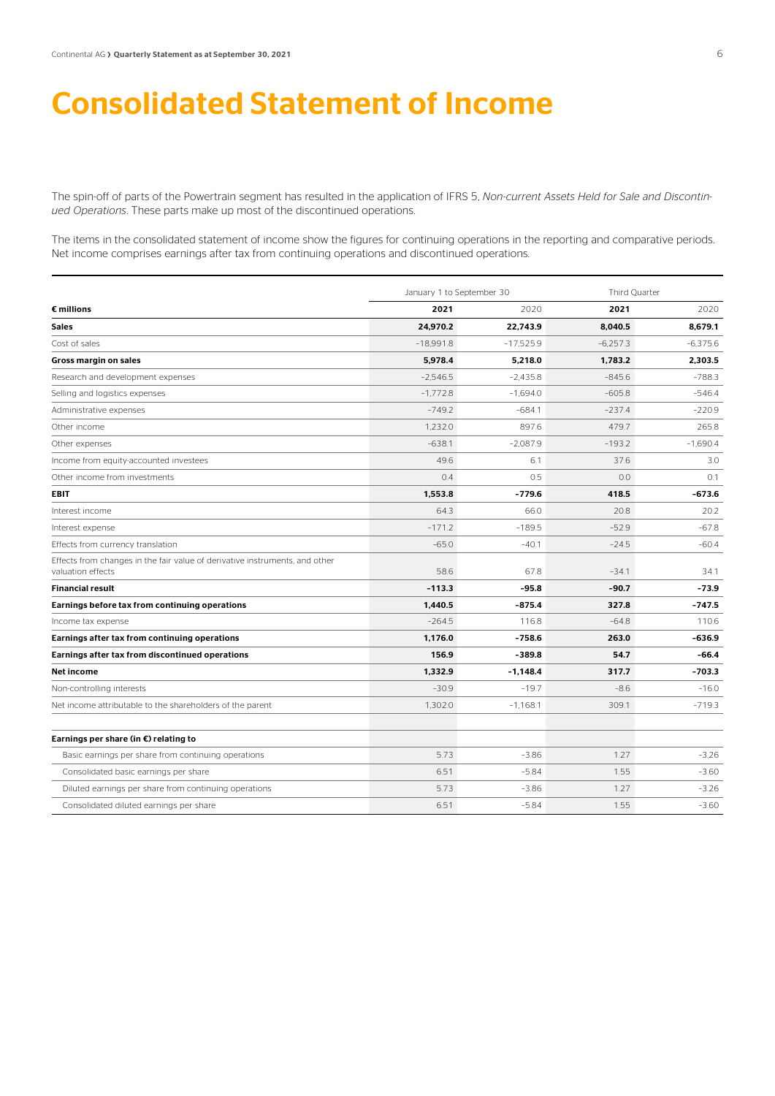### Consolidated Statement of Income

The spin-off of parts of the Powertrain segment has resulted in the application of IFRS 5, *Non-current Assets Held for Sale and Discontinued Operations*. These parts make up most of the discontinued operations.

The items in the consolidated statement of income show the figures for continuing operations in the reporting and comparative periods. Net income comprises earnings after tax from continuing operations and discontinued operations.

|                                                                                                  | January 1 to September 30 |             | Third Quarter |            |  |
|--------------------------------------------------------------------------------------------------|---------------------------|-------------|---------------|------------|--|
| $\epsilon$ millions                                                                              | 2021                      | 2020        | 2021          | 2020       |  |
| Sales                                                                                            | 24,970.2                  | 22,743.9    | 8,040.5       | 8,679.1    |  |
| Cost of sales                                                                                    | $-18.991.8$               | $-17,525.9$ | $-6.257.3$    | $-6.375.6$ |  |
| Gross margin on sales                                                                            | 5,978.4                   | 5,218.0     | 1,783.2       | 2,303.5    |  |
| Research and development expenses                                                                | $-2.546.5$                | $-2.435.8$  | $-845.6$      | $-788.3$   |  |
| Selling and logistics expenses                                                                   | $-1.772.8$                | $-1.694.0$  | $-605.8$      | $-546.4$   |  |
| Administrative expenses                                                                          | $-749.2$                  | $-684.1$    | $-237.4$      | $-220.9$   |  |
| Other income                                                                                     | 1.232.0                   | 897.6       | 479.7         | 265.8      |  |
| Other expenses                                                                                   | $-638.1$                  | $-2.087.9$  | $-193.2$      | $-1.690.4$ |  |
| Income from equity-accounted investees                                                           | 49.6                      | 6.1         | 37.6          | 3.0        |  |
| Other income from investments                                                                    | 0.4                       | 0.5         | 0.0           | 0.1        |  |
| <b>EBIT</b>                                                                                      | 1.553.8                   | $-779.6$    | 418.5         | $-673.6$   |  |
| Interest income                                                                                  | 64.3                      | 66.0        | 20.8          | 20.2       |  |
| Interest expense                                                                                 | $-171.2$                  | $-189.5$    | $-52.9$       | $-67.8$    |  |
| Effects from currency translation                                                                | $-65.0$                   | $-40.1$     | $-24.5$       | $-60.4$    |  |
| Effects from changes in the fair value of derivative instruments, and other<br>valuation effects | 58.6                      | 67.8        | $-34.1$       | 34.1       |  |
| <b>Financial result</b>                                                                          | $-113.3$                  | $-95.8$     | $-90.7$       | $-73.9$    |  |
| Earnings before tax from continuing operations                                                   | 1,440.5                   | $-875.4$    | 327.8         | -747.5     |  |
| Income tax expense                                                                               | $-264.5$                  | 116.8       | $-64.8$       | 110.6      |  |
| Earnings after tax from continuing operations                                                    | 1,176.0                   | $-758.6$    | 263.0         | $-636.9$   |  |
| Earnings after tax from discontinued operations                                                  | 156.9                     | $-389.8$    | 54.7          | $-66.4$    |  |
| Net income                                                                                       | 1,332.9                   | $-1,148.4$  | 317.7         | $-703.3$   |  |
| Non-controlling interests                                                                        | $-30.9$                   | $-19.7$     | $-8.6$        | $-16.0$    |  |
| Net income attributable to the shareholders of the parent                                        | 1,302.0                   | $-1.168.1$  | 309.1         | $-719.3$   |  |
| Earnings per share (in $\epsilon$ ) relating to                                                  |                           |             |               |            |  |
| Basic earnings per share from continuing operations                                              | 5.73                      | $-3.86$     | 1.27          | $-3.26$    |  |
| Consolidated basic earnings per share                                                            | 6.51                      | $-5.84$     | 1.55          | $-3.60$    |  |
| Diluted earnings per share from continuing operations                                            | 5.73                      | $-3.86$     | 1.27          | $-3.26$    |  |
| Consolidated diluted earnings per share                                                          | 6.51                      | $-5.84$     | 1.55          | $-3.60$    |  |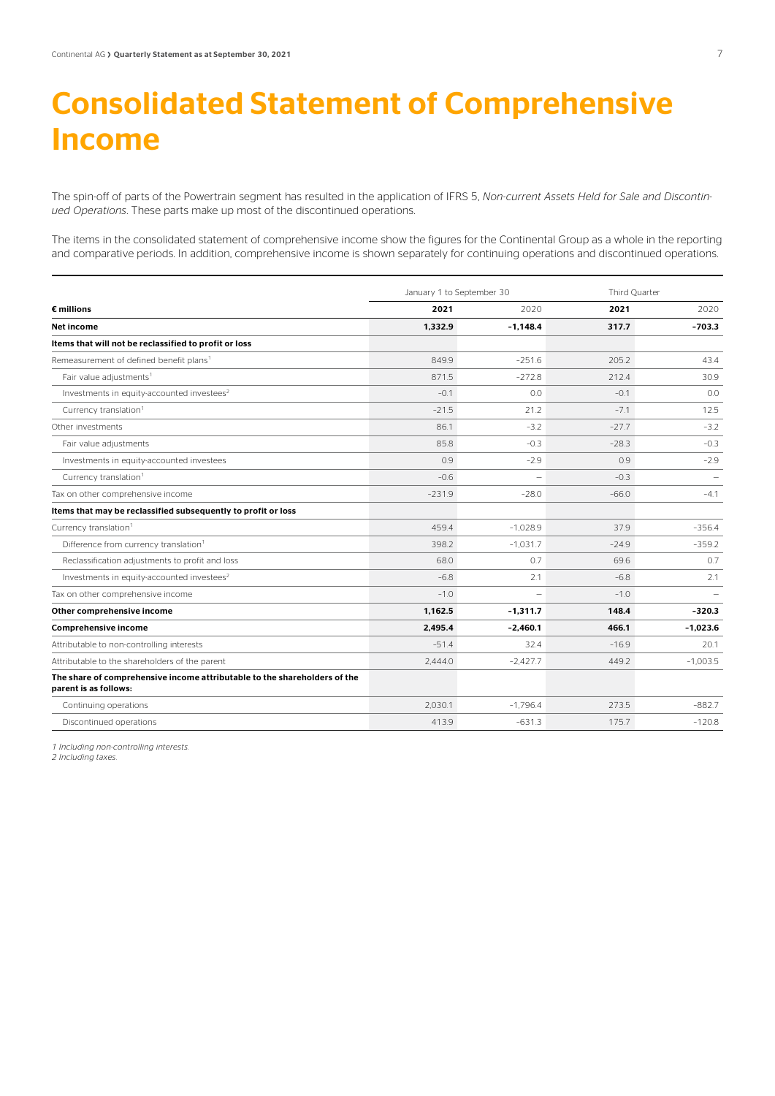## Consolidated Statement of Comprehensive Income

The spin-off of parts of the Powertrain segment has resulted in the application of IFRS 5, *Non-current Assets Held for Sale and Discontinued Operations*. These parts make up most of the discontinued operations.

The items in the consolidated statement of comprehensive income show the figures for the Continental Group as a whole in the reporting and comparative periods. In addition, comprehensive income is shown separately for continuing operations and discontinued operations.

|                                                                                                    | January 1 to September 30 |                          | Third Ouarter |                          |
|----------------------------------------------------------------------------------------------------|---------------------------|--------------------------|---------------|--------------------------|
| $\epsilon$ millions                                                                                | 2021                      | 2020                     | 2021          | 2020                     |
| Net income                                                                                         | 1.332.9                   | $-1.148.4$               | 317.7         | $-703.3$                 |
| Items that will not be reclassified to profit or loss                                              |                           |                          |               |                          |
| Remeasurement of defined benefit plans <sup>1</sup>                                                | 849.9                     | $-251.6$                 | 205.2         | 43.4                     |
| Fair value adjustments <sup>1</sup>                                                                | 871.5                     | $-272.8$                 | 212.4         | 30.9                     |
| Investments in equity-accounted investees <sup>2</sup>                                             | $-0.1$                    | 0.0                      | $-0.1$        | 0.0                      |
| Currency translation <sup>1</sup>                                                                  | $-21.5$                   | 21.2                     | $-7.1$        | 12.5                     |
| Other investments                                                                                  | 86.1                      | $-3.2$                   | $-27.7$       | $-3.2$                   |
| Fair value adjustments                                                                             | 85.8                      | $-0.3$                   | $-28.3$       | $-0.3$                   |
| Investments in equity-accounted investees                                                          | 0.9                       | $-2.9$                   | 0.9           | $-2.9$                   |
| Currency translation <sup>1</sup>                                                                  | $-0.6$                    | $\overline{\phantom{0}}$ | $-0.3$        | $\overline{\phantom{m}}$ |
| Tax on other comprehensive income                                                                  | $-231.9$                  | $-28.0$                  | $-66.0$       | $-4.1$                   |
| Items that may be reclassified subsequently to profit or loss                                      |                           |                          |               |                          |
| Currency translation <sup>1</sup>                                                                  | 459.4                     | $-1.028.9$               | 37.9          | $-356.4$                 |
| Difference from currency translation <sup>1</sup>                                                  | 398.2                     | $-1.031.7$               | $-24.9$       | $-359.2$                 |
| Reclassification adjustments to profit and loss                                                    | 68.0                      | 0.7                      | 69.6          | 0.7                      |
| Investments in equity-accounted investees <sup>2</sup>                                             | $-6.8$                    | 2.1                      | $-6.8$        | 2.1                      |
| Tax on other comprehensive income                                                                  | $-1.0$                    |                          | $-1.0$        |                          |
| Other comprehensive income                                                                         | 1,162.5                   | $-1,311.7$               | 148.4         | $-320.3$                 |
| <b>Comprehensive income</b>                                                                        | 2,495.4                   | $-2,460.1$               | 466.1         | $-1,023.6$               |
| Attributable to non-controlling interests                                                          | $-51.4$                   | 32.4                     | $-16.9$       | 20.1                     |
| Attributable to the shareholders of the parent                                                     | 2.444.0                   | $-2.427.7$               | 449.2         | $-1.003.5$               |
| The share of comprehensive income attributable to the shareholders of the<br>parent is as follows: |                           |                          |               |                          |
| Continuing operations                                                                              | 2.030.1                   | $-1.796.4$               | 273.5         | $-882.7$                 |
| Discontinued operations                                                                            | 413.9                     | $-631.3$                 | 175.7         | $-120.8$                 |

*1 Including non-controlling interests.* 

*2 Including taxes.*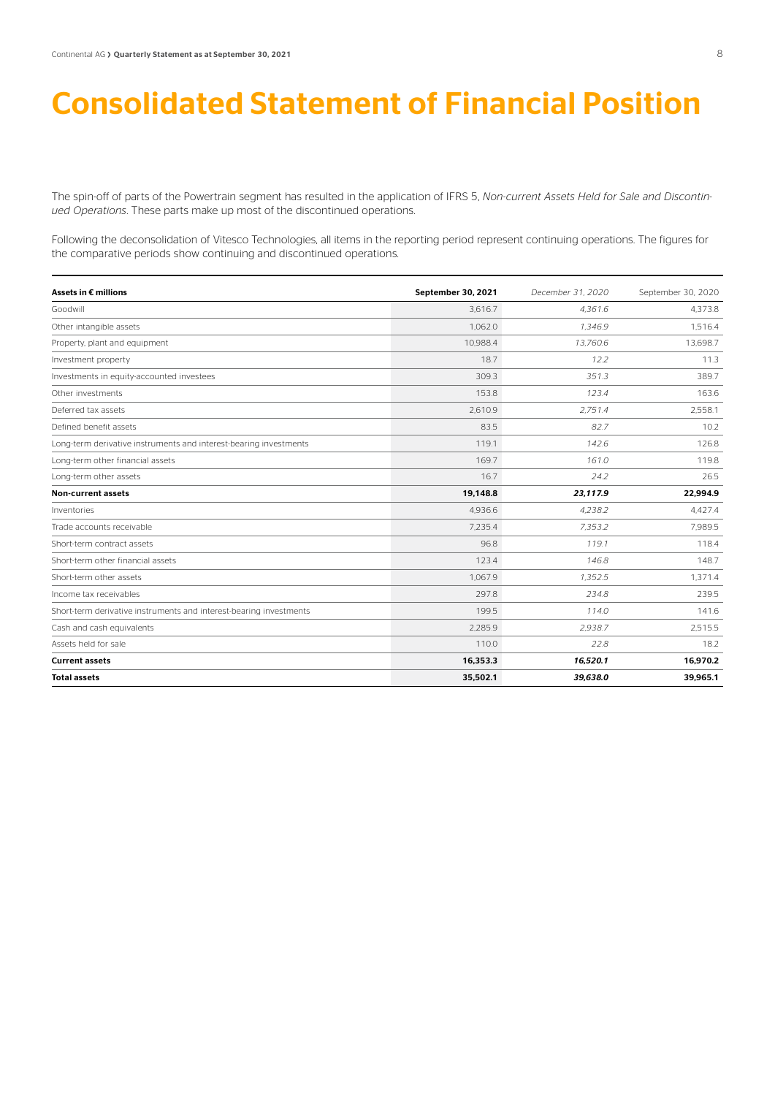### Consolidated Statement of Financial Position

The spin-off of parts of the Powertrain segment has resulted in the application of IFRS 5, *Non-current Assets Held for Sale and Discontinued Operations*. These parts make up most of the discontinued operations.

Following the deconsolidation of Vitesco Technologies, all items in the reporting period represent continuing operations. The figures for the comparative periods show continuing and discontinued operations.

| Assets in € millions                                               | September 30, 2021 | December 31, 2020 | September 30, 2020 |
|--------------------------------------------------------------------|--------------------|-------------------|--------------------|
| Goodwill                                                           | 3.616.7            | 4.361.6           | 4.373.8            |
| Other intangible assets                                            | 1.062.0            | 1.346.9           | 1.516.4            |
| Property, plant and equipment                                      | 10.988.4           | 13.760.6          | 13,698.7           |
| Investment property                                                | 18.7               | 12.2              | 11.3               |
| Investments in equity-accounted investees                          | 309.3              | 351.3             | 389.7              |
| Other investments                                                  | 153.8              | 123.4             | 163.6              |
| Deferred tax assets                                                | 2.610.9            | 2.751.4           | 2.558.1            |
| Defined benefit assets                                             | 83.5               | 82.7              | 10.2               |
| Long-term derivative instruments and interest-bearing investments  | 119.1              | 142.6             | 126.8              |
| Long-term other financial assets                                   | 169.7              | 161.0             | 119.8              |
| Long-term other assets                                             | 16.7               | 24.2              | 26.5               |
| <b>Non-current assets</b>                                          | 19,148.8           | 23.117.9          | 22,994.9           |
| Inventories                                                        | 4.936.6            | 4.238.2           | 4,427.4            |
| Trade accounts receivable                                          | 7.235.4            | 7.353.2           | 7.989.5            |
| Short-term contract assets                                         | 96.8               | 119.1             | 118.4              |
| Short-term other financial assets                                  | 123.4              | 146.8             | 148.7              |
| Short-term other assets                                            | 1,067.9            | 1,352.5           | 1,371.4            |
| Income tax receivables                                             | 297.8              | 234.8             | 239.5              |
| Short-term derivative instruments and interest-bearing investments | 199.5              | 114.0             | 141.6              |
| Cash and cash equivalents                                          | 2.285.9            | 2.938.7           | 2,515.5            |
| Assets held for sale                                               | 110.0              | 22.8              | 18.2               |
| <b>Current assets</b>                                              | 16,353.3           | 16,520.1          | 16,970.2           |
| <b>Total assets</b>                                                | 35,502.1           | 39,638.0          | 39,965.1           |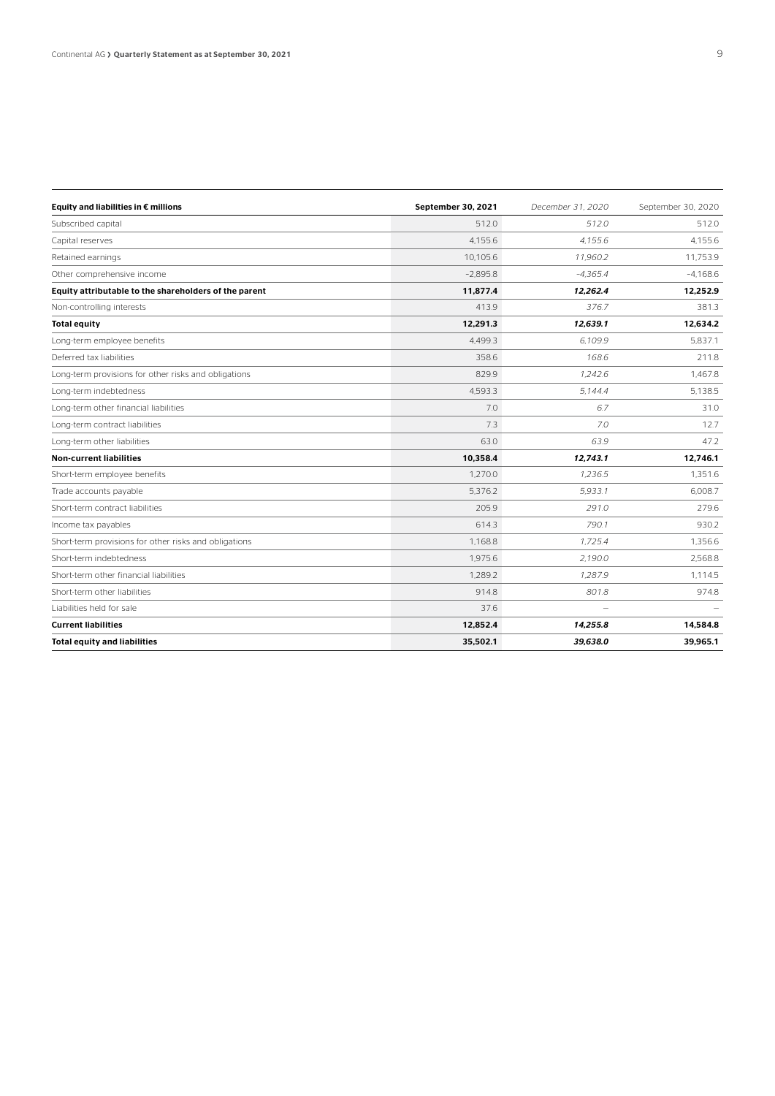| Equity and liabilities in € millions                  | September 30, 2021 | December 31, 2020 | September 30, 2020 |
|-------------------------------------------------------|--------------------|-------------------|--------------------|
| Subscribed capital                                    | 512.0              | 512.0             | 512.0              |
| Capital reserves                                      | 4.155.6            | 4.155.6           | 4.155.6            |
| Retained earnings                                     | 10.105.6           | 11,960.2          | 11,753.9           |
| Other comprehensive income                            | $-2.895.8$         | $-4.365.4$        | $-4,168.6$         |
| Equity attributable to the shareholders of the parent | 11,877.4           | 12,262.4          | 12,252.9           |
| Non-controlling interests                             | 413.9              | 376.7             | 381.3              |
| <b>Total equity</b>                                   | 12,291.3           | 12.639.1          | 12.634.2           |
| Long-term employee benefits                           | 4.499.3            | 6.109.9           | 5.837.1            |
| Deferred tax liabilities                              | 358.6              | 168.6             | 211.8              |
| Long-term provisions for other risks and obligations  | 829.9              | 1.242.6           | 1.467.8            |
| Long-term indebtedness                                | 4,593.3            | 5.144.4           | 5,138.5            |
| Long-term other financial liabilities                 | 7.0                | 6.7               | 31.0               |
| Long-term contract liabilities                        | 7.3                | 7.0               | 12.7               |
| Long-term other liabilities                           | 63.0               | 63.9              | 47.2               |
| <b>Non-current liabilities</b>                        | 10,358.4           | 12,743.1          | 12,746.1           |
| Short-term employee benefits                          | 1.270.0            | 1.236.5           | 1.351.6            |
| Trade accounts payable                                | 5.376.2            | 5.933.1           | 6.008.7            |
| Short-term contract liabilities                       | 205.9              | 291.0             | 279.6              |
| Income tax payables                                   | 614.3              | 790.1             | 930.2              |
| Short-term provisions for other risks and obligations | 1,168.8            | 1.725.4           | 1,356.6            |
| Short-term indebtedness                               | 1.975.6            | 2,190.0           | 2,568.8            |
| Short-term other financial liabilities                | 1.289.2            | 1.287.9           | 1.114.5            |
| Short-term other liabilities                          | 914.8              | 801.8             | 974.8              |
| Liabilities held for sale                             | 37.6               |                   |                    |
| <b>Current liabilities</b>                            | 12,852.4           | 14,255.8          | 14,584.8           |
| <b>Total equity and liabilities</b>                   | 35,502.1           | 39.638.0          | 39,965.1           |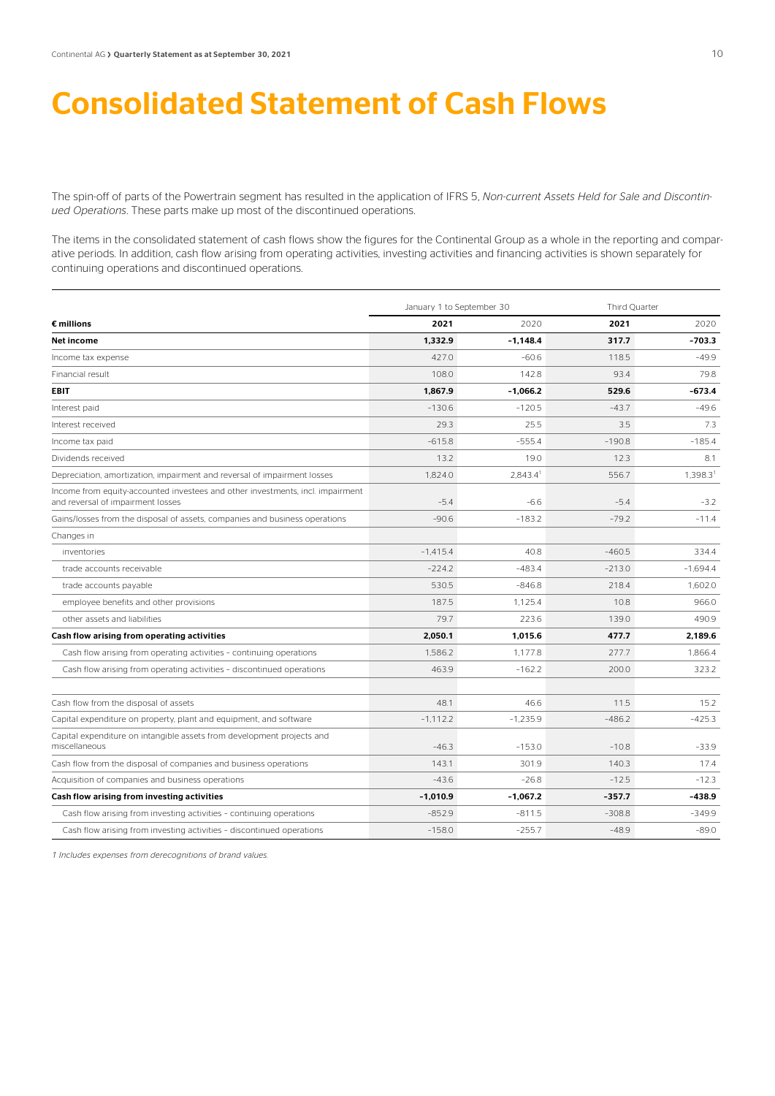### Consolidated Statement of Cash Flows

The spin-off of parts of the Powertrain segment has resulted in the application of IFRS 5, *Non-current Assets Held for Sale and Discontinued Operations*. These parts make up most of the discontinued operations.

The items in the consolidated statement of cash flows show the figures for the Continental Group as a whole in the reporting and comparative periods. In addition, cash flow arising from operating activities, investing activities and financing activities is shown separately for continuing operations and discontinued operations.

|                                                                                                                     | January 1 to September 30 |                      |          | Third Quarter |  |
|---------------------------------------------------------------------------------------------------------------------|---------------------------|----------------------|----------|---------------|--|
| $\epsilon$ millions                                                                                                 | 2021                      | 2020                 | 2021     | 2020          |  |
| Net income                                                                                                          | 1,332.9                   | $-1,148.4$           | 317.7    | $-703.3$      |  |
| Income tax expense                                                                                                  | 427.0                     | $-60.6$              | 118.5    | $-499$        |  |
| Financial result                                                                                                    | 108.0                     | 142.8                | 93.4     | 79.8          |  |
| <b>EBIT</b>                                                                                                         | 1,867.9                   | $-1,066.2$           | 529.6    | $-673.4$      |  |
| Interest paid                                                                                                       | $-130.6$                  | $-120.5$             | $-43.7$  | $-49.6$       |  |
| Interest received                                                                                                   | 29.3                      | 25.5                 | 3.5      | 7.3           |  |
| Income tax paid                                                                                                     | $-615.8$                  | $-555.4$             | $-190.8$ | $-185.4$      |  |
| Dividends received                                                                                                  | 13.2                      | 19.0                 | 12.3     | 8.1           |  |
| Depreciation, amortization, impairment and reversal of impairment losses                                            | 1.824.0                   | 2.843.4 <sup>1</sup> | 556.7    | 1.398.31      |  |
| Income from equity-accounted investees and other investments, incl. impairment<br>and reversal of impairment losses | $-5.4$                    | $-6.6$               | $-5.4$   | $-3.2$        |  |
| Gains/losses from the disposal of assets, companies and business operations                                         | $-90.6$                   | $-183.2$             | $-79.2$  | $-11.4$       |  |
| Changes in                                                                                                          |                           |                      |          |               |  |
| inventories                                                                                                         | $-1,415.4$                | 40.8                 | $-460.5$ | 334.4         |  |
| trade accounts receivable                                                                                           | $-224.2$                  | $-483.4$             | $-213.0$ | $-1.694.4$    |  |
| trade accounts payable                                                                                              | 530.5                     | $-846.8$             | 218.4    | 1,602.0       |  |
| employee benefits and other provisions                                                                              | 187.5                     | 1,125.4              | 10.8     | 966.0         |  |
| other assets and liabilities                                                                                        | 79.7                      | 223.6                | 139.0    | 490.9         |  |
| Cash flow arising from operating activities                                                                         | 2,050.1                   | 1,015.6              | 477.7    | 2.189.6       |  |
| Cash flow arising from operating activities - continuing operations                                                 | 1.586.2                   | 1.177.8              | 277.7    | 1.866.4       |  |
| Cash flow arising from operating activities - discontinued operations                                               | 463.9                     | $-162.2$             | 200.0    | 323.2         |  |
| Cash flow from the disposal of assets                                                                               | 48.1                      | 46.6                 | 11.5     | 15.2          |  |
| Capital expenditure on property, plant and equipment, and software                                                  | $-1,112.2$                | $-1.235.9$           | $-486.2$ | $-425.3$      |  |
| Capital expenditure on intangible assets from development projects and<br>miscellaneous                             | $-46.3$                   | $-153.0$             | $-10.8$  | $-33.9$       |  |
| Cash flow from the disposal of companies and business operations                                                    | 143.1                     | 301.9                | 140.3    | 17.4          |  |
| Acquisition of companies and business operations                                                                    | $-43.6$                   | $-26.8$              | $-12.5$  | $-12.3$       |  |
| Cash flow arising from investing activities                                                                         | $-1,010.9$                | $-1,067.2$           | $-357.7$ | -438.9        |  |
| Cash flow arising from investing activities - continuing operations                                                 | $-852.9$                  | $-811.5$             | $-308.8$ | $-349.9$      |  |
| Cash flow arising from investing activities - discontinued operations                                               | $-158.0$                  | $-255.7$             | $-48.9$  | $-89.0$       |  |

*1 Includes expenses from derecognitions of brand values.*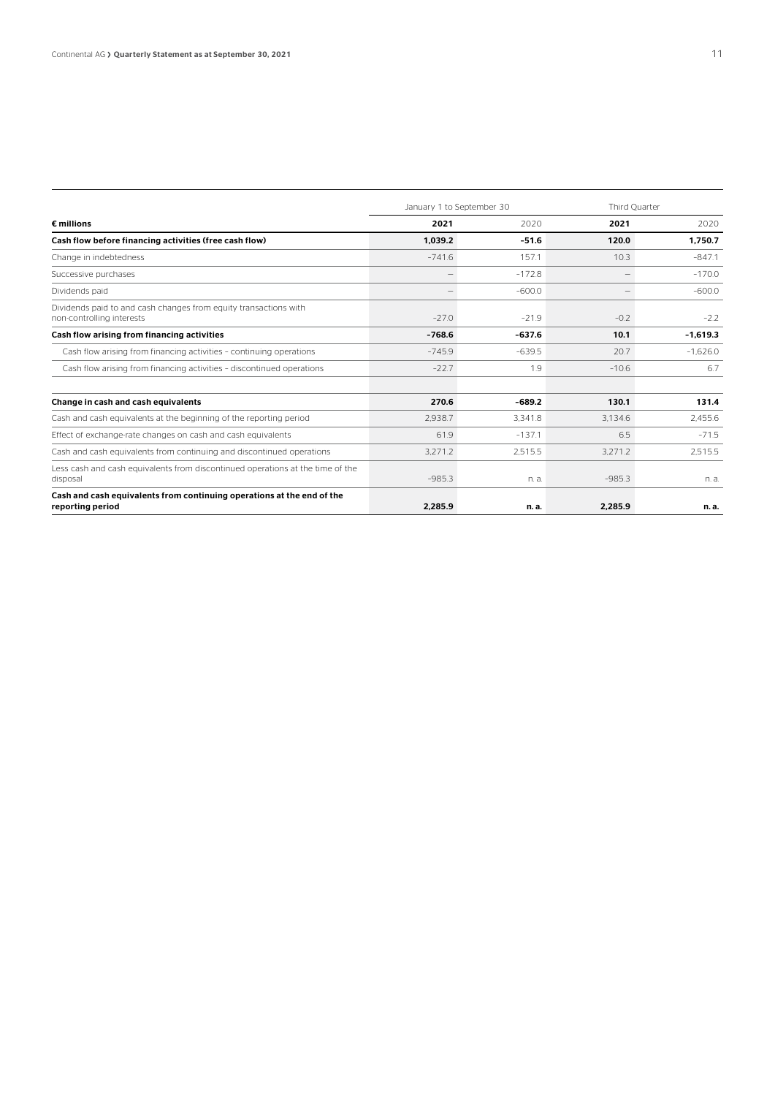|                                                                                               | January 1 to September 30 |          |                                 | Third Ouarter |  |
|-----------------------------------------------------------------------------------------------|---------------------------|----------|---------------------------------|---------------|--|
| $\epsilon$ millions                                                                           | 2021                      | 2020     | 2021                            | 2020          |  |
| Cash flow before financing activities (free cash flow)                                        | 1.039.2                   | $-51.6$  | 120.0                           | 1.750.7       |  |
| Change in indebtedness                                                                        | $-741.6$                  | 157.1    | 10.3                            | $-847.1$      |  |
| Successive purchases                                                                          | $\qquad \qquad -$         | $-172.8$ | $\hspace{0.1mm}-\hspace{0.1mm}$ | $-170.0$      |  |
| Dividends paid                                                                                | $\sim$                    | $-600.0$ | $\overline{\phantom{a}}$        | $-600.0$      |  |
| Dividends paid to and cash changes from equity transactions with<br>non-controlling interests | $-27.0$                   | $-21.9$  | $-0.2$                          | $-2.2$        |  |
| Cash flow arising from financing activities                                                   | $-768.6$                  | $-637.6$ | 10.1                            | $-1.619.3$    |  |
| Cash flow arising from financing activities - continuing operations                           | $-745.9$                  | $-639.5$ | 20.7                            | $-1.626.0$    |  |
| Cash flow arising from financing activities - discontinued operations                         | $-22.7$                   | 1.9      | $-10.6$                         | 6.7           |  |
|                                                                                               |                           |          |                                 |               |  |
| Change in cash and cash equivalents                                                           | 270.6                     | $-689.2$ | 130.1                           | 131.4         |  |
| Cash and cash equivalents at the beginning of the reporting period                            | 2.938.7                   | 3.341.8  | 3.134.6                         | 2,455.6       |  |
| Effect of exchange-rate changes on cash and cash equivalents                                  | 61.9                      | $-137.1$ | 6.5                             | $-71.5$       |  |
| Cash and cash equivalents from continuing and discontinued operations                         | 3.271.2                   | 2.515.5  | 3.271.2                         | 2,515.5       |  |
| Less cash and cash equivalents from discontinued operations at the time of the<br>disposal    | $-985.3$                  | n. a.    | $-985.3$                        | n. a.         |  |
| Cash and cash equivalents from continuing operations at the end of the<br>reporting period    | 2.285.9                   | n. a.    | 2,285.9                         | n. a.         |  |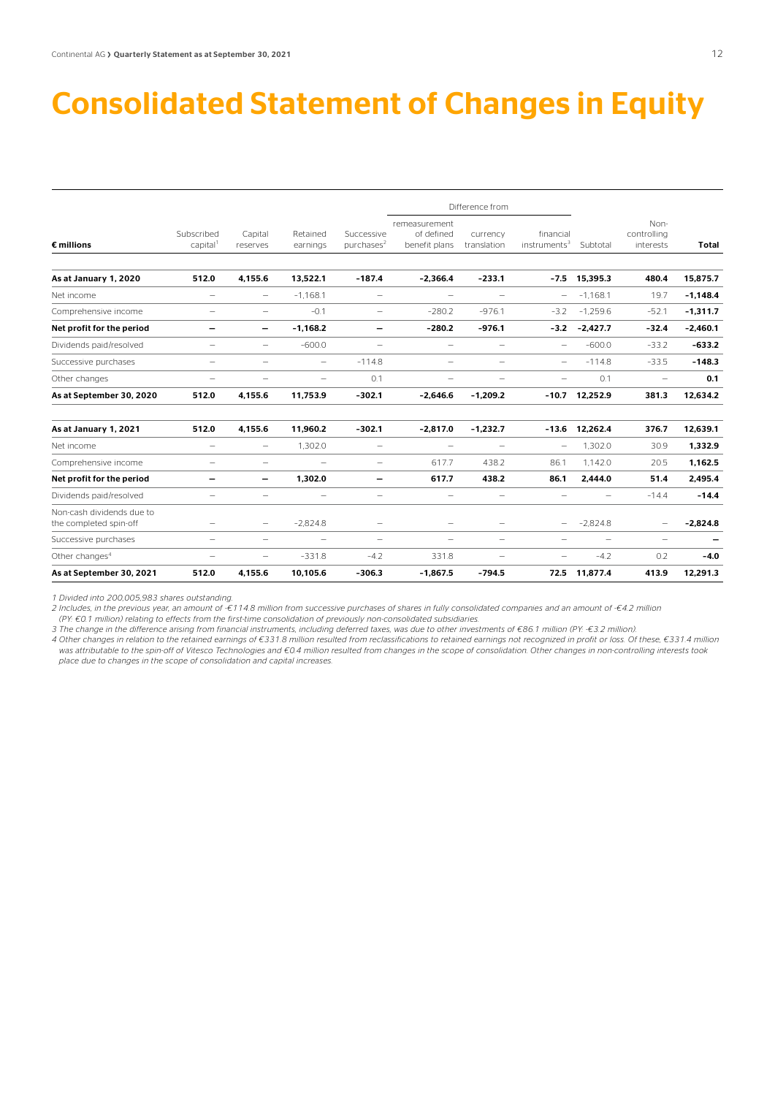### Consolidated Statement of Changes in Equity

| As at September 30, 2021                            | 512.0                              | 4.155.6                  | 10.105.6                 | $-306.3$                                | $-1,867.5$                                   | $-794.5$                 | 72.5                                     | 11.877.4                 | 413.9                            | 12.291.3   |
|-----------------------------------------------------|------------------------------------|--------------------------|--------------------------|-----------------------------------------|----------------------------------------------|--------------------------|------------------------------------------|--------------------------|----------------------------------|------------|
| Other changes <sup>4</sup>                          | -                                  | $\overline{\phantom{m}}$ | $-331.8$                 | $-4.2$                                  | 331.8                                        | $\overline{\phantom{a}}$ | -                                        | $-4.2$                   | 0.2                              | $-4.0$     |
| Successive purchases                                | -                                  | $\overline{\phantom{m}}$ | $\overline{\phantom{0}}$ | $\overline{\phantom{0}}$                | $\overline{\phantom{0}}$                     | $\overline{\phantom{m}}$ | -                                        | $\overline{\phantom{0}}$ | $\overline{\phantom{0}}$         |            |
| Non-cash dividends due to<br>the completed spin-off | -                                  | $\overline{\phantom{m}}$ | $-2.824.8$               | $\overline{\phantom{0}}$                | $\overline{\phantom{0}}$                     | $\overline{\phantom{0}}$ |                                          | $-2,824.8$               | -                                | $-2,824.8$ |
| Dividends paid/resolved                             | -                                  | $\overline{\phantom{a}}$ | -                        | $\overline{\phantom{0}}$                | $\overline{\phantom{0}}$                     | $\overline{\phantom{a}}$ | -                                        | -                        | $-14.4$                          | $-14.4$    |
| Net profit for the period                           | -                                  | -                        | 1,302.0                  | $\qquad \qquad$                         | 617.7                                        | 438.2                    | 86.1                                     | 2,444.0                  | 51.4                             | 2,495.4    |
| Comprehensive income                                | $\overline{\phantom{0}}$           | $\overline{\phantom{0}}$ | $\overline{\phantom{0}}$ | $\overline{\phantom{0}}$                | 617.7                                        | 438.2                    | 86.1                                     | 1.142.0                  | 20.5                             | 1,162.5    |
| Net income                                          | $\overline{\phantom{0}}$           | $\overline{\phantom{0}}$ | 1,302.0                  | $\overline{\phantom{0}}$                | $\overbrace{\phantom{1232211}}$              | $\overline{\phantom{a}}$ | $\overline{\phantom{0}}$                 | 1,302.0                  | 30.9                             | 1,332.9    |
| As at January 1, 2021                               | 512.0                              | 4,155.6                  | 11,960.2                 | $-302.1$                                | $-2,817.0$                                   | $-1,232.7$               | $-13.6$                                  | 12,262.4                 | 376.7                            | 12,639.1   |
| As at September 30, 2020                            | 512.0                              | 4.155.6                  | 11.753.9                 | $-302.1$                                | $-2.646.6$                                   | $-1.209.2$               | $-10.7$                                  | 12.252.9                 | 381.3                            | 12.634.2   |
| Other changes                                       | -                                  | $\overline{\phantom{0}}$ | $\overline{\phantom{0}}$ | 0.1                                     | $\overline{\phantom{0}}$                     | $\overline{\phantom{0}}$ | $\overline{\phantom{0}}$                 | 0.1                      | $\overline{\phantom{0}}$         | 0.1        |
| Successive purchases                                | -                                  | $\overline{\phantom{0}}$ | $\overline{\phantom{0}}$ | $-114.8$                                | $\overline{\phantom{0}}$                     | $\overline{\phantom{a}}$ | -                                        | $-114.8$                 | $-33.5$                          | $-148.3$   |
| Dividends paid/resolved                             | -                                  | $\overline{\phantom{m}}$ | $-600.0$                 | $\overline{\phantom{0}}$                | $\overline{\phantom{0}}$                     | $\overline{\phantom{m}}$ | $\overline{\phantom{0}}$                 | $-600.0$                 | $-33.2$                          | $-633.2$   |
| Net profit for the period                           | -                                  | -                        | $-1,168.2$               | $\qquad \qquad \blacksquare$            | $-280.2$                                     | $-976.1$                 |                                          | $-3.2 -2.427.7$          | $-32.4$                          | $-2,460.1$ |
| Comprehensive income                                | -                                  | $\overline{\phantom{0}}$ | $-0.1$                   | $\overline{\phantom{0}}$                | $-280.2$                                     | $-976.1$                 | $-3.2$                                   | $-1.259.6$               | $-52.1$                          | $-1,311.7$ |
| Net income                                          | $\overline{\phantom{0}}$           | $\overline{\phantom{0}}$ | $-1,168.1$               | $\overline{\phantom{0}}$                | $\overbrace{\phantom{1232211}}$              | $\overline{\phantom{0}}$ | -                                        | $-1.168.1$               | 19.7                             | $-1,148.4$ |
| As at January 1, 2020                               | 512.0                              | 4,155.6                  | 13,522.1                 | $-187.4$                                | $-2,366.4$                                   | $-233.1$                 | $-7.5$                                   | 15,395.3                 | 480.4                            | 15,875.7   |
| $\epsilon$ millions                                 | Subscribed<br>capital <sup>1</sup> | Capital<br>reserves      | Retained<br>earnings     | Successive<br>$pure$ hases <sup>2</sup> | remeasurement<br>of defined<br>benefit plans | currency<br>translation  | financial<br>$in$ struments <sup>3</sup> | Subtotal                 | Non-<br>controlling<br>interests | Total      |
|                                                     |                                    |                          |                          |                                         |                                              | Difference from          |                                          |                          |                                  |            |

*1 Divided into 200,005,983 shares outstanding.* 

*2 Includes, in the previous year, an amount of -€114.8 million from successive purchases of shares in fully consolidated companies and an amount of -€4.2 million* 

*(PY: €0.1 million) relating to effects from the first-time consolidation of previously non-consolidated subsidiaries.* 

*3 The change in the difference arising from financial instruments, including deferred taxes, was due to other investments of €86.1 million (PY: -€3.2 million).* 

*4 Other changes in relation to the retained earnings of €331.8 million resulted from reclassifications to retained earnings not recognized in profit or loss. Of these, €331.4 million was attributable to the spin-off of Vitesco Technologies and €0.4 million resulted from changes in the scope of consolidation. Other changes in non-controlling interests took place due to changes in the scope of consolidation and capital increases.*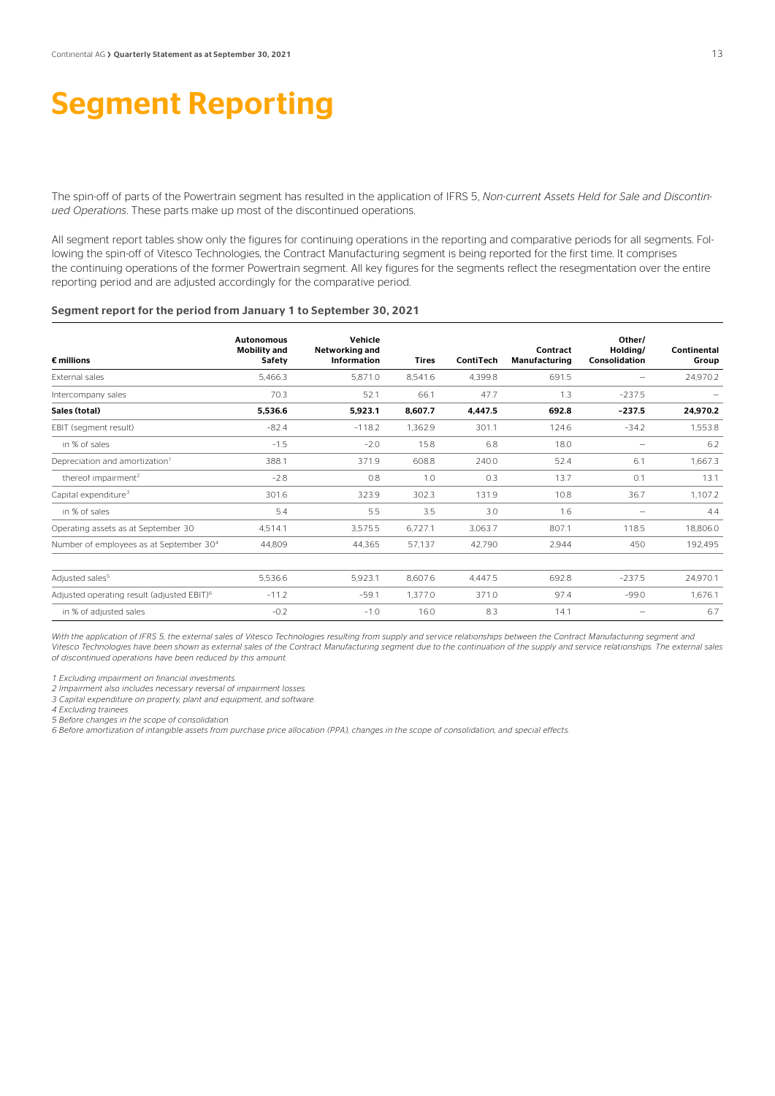### Segment Reporting

The spin-off of parts of the Powertrain segment has resulted in the application of IFRS 5, *Non-current Assets Held for Sale and Discontinued Operations*. These parts make up most of the discontinued operations.

All segment report tables show only the figures for continuing operations in the reporting and comparative periods for all segments. Following the spin-off of Vitesco Technologies, the Contract Manufacturing segment is being reported for the first time. It comprises the continuing operations of the former Powertrain segment. All key figures for the segments reflect the resegmentation over the entire reporting period and are adjusted accordingly for the comparative period.

#### Segment report for the period from January 1 to September 30, 2021

| $\epsilon$ millions                                    | <b>Autonomous</b><br><b>Mobility and</b><br>Safety | Vehicle<br>Networking and<br>Information | <b>Tires</b> | ContiTech | Contract<br>Manufacturing | Other/<br>Holding/<br>Consolidation | Continental<br>Group |
|--------------------------------------------------------|----------------------------------------------------|------------------------------------------|--------------|-----------|---------------------------|-------------------------------------|----------------------|
| External sales                                         | 5.466.3                                            | 5.871.0                                  | 8,541.6      | 4.399.8   | 691.5                     |                                     | 24,970.2             |
| Intercompany sales                                     | 70.3                                               | 52.1                                     | 66.1         | 47.7      | 1.3                       | $-237.5$                            |                      |
| Sales (total)                                          | 5,536.6                                            | 5,923.1                                  | 8,607.7      | 4,447.5   | 692.8                     | $-237.5$                            | 24,970.2             |
| EBIT (segment result)                                  | $-82.4$                                            | $-118.2$                                 | 1,362.9      | 301.1     | 124.6                     | $-34.2$                             | 1,553.8              |
| in % of sales                                          | $-1.5$                                             | $-2.0$                                   | 15.8         | 6.8       | 18.0                      |                                     | 6.2                  |
| Depreciation and amortization <sup>1</sup>             | 388.1                                              | 371.9                                    | 608.8        | 240.0     | 52.4                      | 6.1                                 | 1,667.3              |
| thereof impairment <sup>2</sup>                        | $-2.8$                                             | 0.8                                      | 1.0          | 0.3       | 13.7                      | 0.1                                 | 13.1                 |
| Capital expenditure <sup>3</sup>                       | 301.6                                              | 323.9                                    | 302.3        | 131.9     | 10.8                      | 36.7                                | 1,107.2              |
| in % of sales                                          | 5.4                                                | 5.5                                      | 3.5          | 3.0       | 1.6                       |                                     | 4.4                  |
| Operating assets as at September 30                    | 4.514.1                                            | 3,575.5                                  | 6,727.1      | 3.063.7   | 807.1                     | 118.5                               | 18,806.0             |
| Number of employees as at September 30 <sup>4</sup>    | 44,809                                             | 44,365                                   | 57.137       | 42,790    | 2,944                     | 450                                 | 192,495              |
| Adjusted sales <sup>5</sup>                            | 5,536.6                                            | 5,923.1                                  | 8,607.6      | 4,447.5   | 692.8                     | $-237.5$                            | 24,970.1             |
| Adjusted operating result (adjusted EBIT) <sup>6</sup> | $-11.2$                                            | $-59.1$                                  | 1,377.0      | 371.0     | 97.4                      | $-99.0$                             | 1,676.1              |
| in % of adjusted sales                                 | $-0.2$                                             | $-1.0$                                   | 16.0         | 8.3       | 14.1                      |                                     | 6.7                  |

With the application of IFRS 5, the external sales of Vitesco Technologies resulting from supply and service relationships between the Contract Manufacturing segment and *Vitesco Technologies have been shown as external sales of the Contract Manufacturing segment due to the continuation of the supply and service relationships. The external sales of discontinued operations have been reduced by this amount.* 

*1 Excluding impairment on financial investments.* 

*2 Impairment also includes necessary reversal of impairment losses.* 

*3 Capital expenditure on property, plant and equipment, and software.* 

*4 Excluding trainees.* 

*5 Before changes in the scope of consolidation.*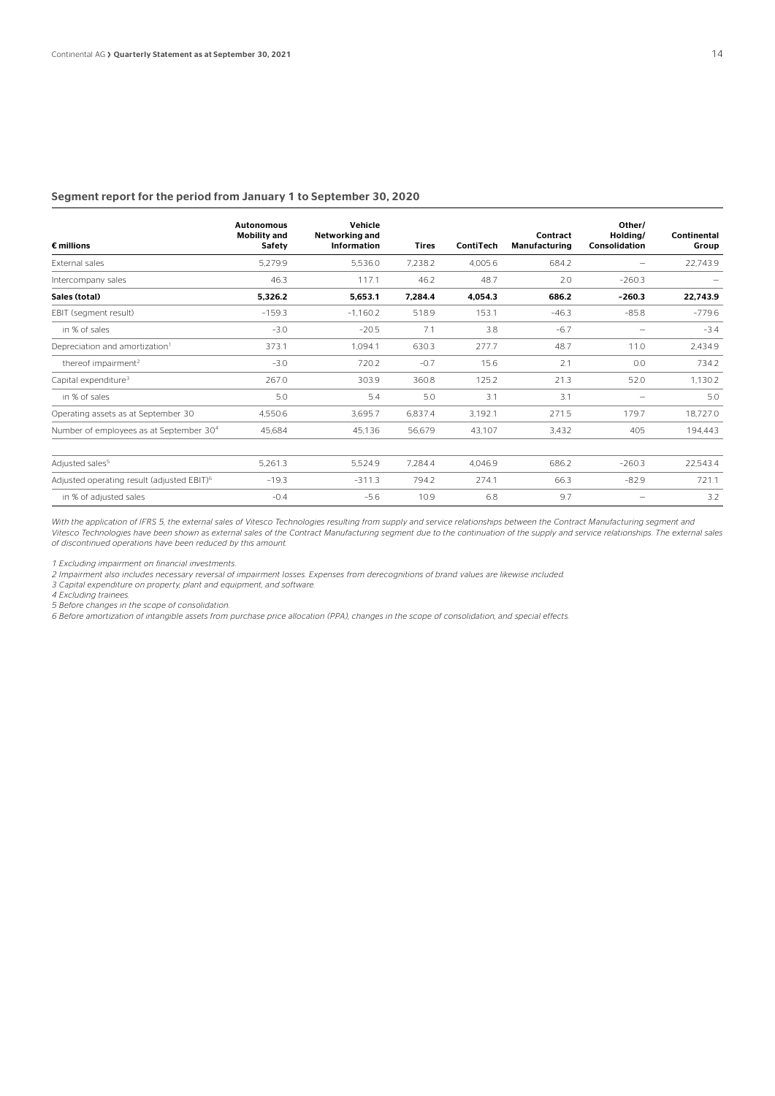#### Segment report for the period from January 1 to September 30, 2020

| $\epsilon$ millions                                    | <b>Autonomous</b><br><b>Mobility and</b><br>Safety | Vehicle<br>Networking and<br>Information | <b>Tires</b> | ContiTech | Contract<br><b>Manufacturing</b> | Other/<br>Holding/<br>Consolidation | Continental<br>Group |
|--------------------------------------------------------|----------------------------------------------------|------------------------------------------|--------------|-----------|----------------------------------|-------------------------------------|----------------------|
| External sales                                         | 5,279.9                                            | 5.536.0                                  | 7.238.2      | 4.005.6   | 684.2                            |                                     | 22,743.9             |
| Intercompany sales                                     | 46.3                                               | 117.1                                    | 46.2         | 48.7      | 2.0                              | $-260.3$                            |                      |
| Sales (total)                                          | 5,326.2                                            | 5,653.1                                  | 7,284.4      | 4,054.3   | 686.2                            | $-260.3$                            | 22,743.9             |
| EBIT (segment result)                                  | $-159.3$                                           | $-1.160.2$                               | 518.9        | 153.1     | $-46.3$                          | $-85.8$                             | $-779.6$             |
| in % of sales                                          | $-3.0$                                             | $-20.5$                                  | 7.1          | 3.8       | $-6.7$                           |                                     | $-3.4$               |
| Depreciation and amortization <sup>1</sup>             | 373.1                                              | 1.094.1                                  | 630.3        | 277.7     | 48.7                             | 11.0                                | 2,434.9              |
| thereof impairment <sup>2</sup>                        | $-3.0$                                             | 720.2                                    | $-0.7$       | 15.6      | 2.1                              | 0.0                                 | 734.2                |
| Capital expenditure <sup>3</sup>                       | 267.0                                              | 303.9                                    | 360.8        | 125.2     | 21.3                             | 52.0                                | 1.130.2              |
| in % of sales                                          | 5.0                                                | 5.4                                      | 5.0          | 3.1       | 3.1                              |                                     | 5.0                  |
| Operating assets as at September 30                    | 4.550.6                                            | 3,695.7                                  | 6,837.4      | 3.192.1   | 271.5                            | 179.7                               | 18,727.0             |
| Number of employees as at September 30 <sup>4</sup>    | 45,684                                             | 45,136                                   | 56,679       | 43,107    | 3,432                            | 405                                 | 194.443              |
| Adjusted sales <sup>5</sup>                            | 5,261.3                                            | 5,524.9                                  | 7,284.4      | 4,046.9   | 686.2                            | $-260.3$                            | 22,543.4             |
| Adjusted operating result (adjusted EBIT) <sup>6</sup> | $-19.3$                                            | $-311.3$                                 | 794.2        | 274.1     | 66.3                             | $-82.9$                             | 721.1                |
| in % of adjusted sales                                 | $-0.4$                                             | $-5.6$                                   | 10.9         | 6.8       | 9.7                              |                                     | 3.2                  |

With the application of IFRS 5, the external sales of Vitesco Technologies resulting from supply and service relationships between the Contract Manufacturing segment and *Vitesco Technologies have been shown as external sales of the Contract Manufacturing segment due to the continuation of the supply and service relationships. The external sales of discontinued operations have been reduced by this amount.* 

*1 Excluding impairment on financial investments.* 

*2 Impairment also includes necessary reversal of impairment losses. Expenses from derecognitions of brand values are likewise included.* 

*3 Capital expenditure on property, plant and equipment, and software.* 

*4 Excluding trainees.* 

*5 Before changes in the scope of consolidation.*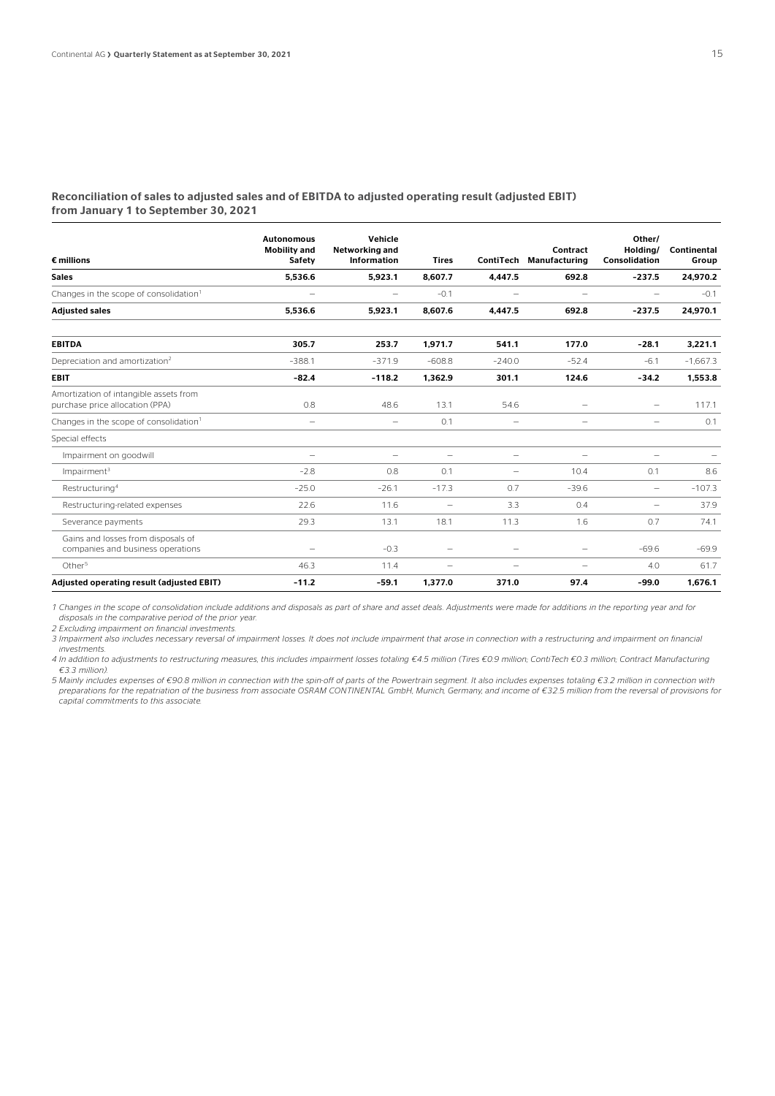#### Reconciliation of sales to adjusted sales and of EBITDA to adjusted operating result (adjusted EBIT) from January 1 to September 30, 2021

| $\epsilon$ millions                                                       | <b>Autonomous</b><br><b>Mobility and</b><br><b>Safety</b> | Vehicle<br>Networking and<br><b>Information</b> | <b>Tires</b>             | ContiTech                | Contract<br><b>Manufacturing</b> | Other/<br>Holdina/<br>Consolidation | Continental<br>Group |
|---------------------------------------------------------------------------|-----------------------------------------------------------|-------------------------------------------------|--------------------------|--------------------------|----------------------------------|-------------------------------------|----------------------|
| <b>Sales</b>                                                              | 5,536.6                                                   | 5,923.1                                         | 8,607.7                  | 4,447.5                  | 692.8                            | $-237.5$                            | 24,970.2             |
| Changes in the scope of consolidation <sup>1</sup>                        | $\overline{\phantom{0}}$                                  | $\overline{\phantom{0}}$                        | $-0.1$                   |                          | $\overline{\phantom{a}}$         | -                                   | $-0.1$               |
| <b>Adjusted sales</b>                                                     | 5,536.6                                                   | 5,923.1                                         | 8,607.6                  | 4.447.5                  | 692.8                            | $-237.5$                            | 24,970.1             |
| <b>EBITDA</b>                                                             | 305.7                                                     | 253.7                                           | 1,971.7                  | 541.1                    | 177.0                            | $-28.1$                             | 3,221.1              |
| Depreciation and amortization <sup>2</sup>                                | $-388.1$                                                  | $-371.9$                                        | $-608.8$                 | $-240.0$                 | $-52.4$                          | $-6.1$                              | $-1.667.3$           |
| <b>EBIT</b>                                                               | $-82.4$                                                   | $-118.2$                                        | 1,362.9                  | 301.1                    | 124.6                            | $-34.2$                             | 1,553.8              |
| Amortization of intangible assets from<br>purchase price allocation (PPA) | 0.8                                                       | 48.6                                            | 13.1                     | 54.6                     | $\overline{\phantom{0}}$         | $\overline{\phantom{0}}$            | 117.1                |
| Changes in the scope of consolidation <sup>1</sup>                        | $\overline{\phantom{0}}$                                  | $\overline{\phantom{0}}$                        | 0.1                      | $\qquad \qquad -$        | $\overline{\phantom{0}}$         | $\overline{\phantom{0}}$            | 0.1                  |
| Special effects                                                           |                                                           |                                                 |                          |                          |                                  |                                     |                      |
| Impairment on goodwill                                                    | $\overline{\phantom{0}}$                                  | $\overline{\phantom{0}}$                        | $\overline{\phantom{0}}$ | $\qquad \qquad -$        | $\overline{\phantom{a}}$         | $\overline{\phantom{0}}$            |                      |
| Impairment <sup>3</sup>                                                   | $-2.8$                                                    | 0.8                                             | 0.1                      | $\overline{\phantom{0}}$ | 10.4                             | 0.1                                 | 8.6                  |
| Restructuring <sup>4</sup>                                                | $-25.0$                                                   | $-26.1$                                         | $-17.3$                  | 0.7                      | $-39.6$                          | $\overline{\phantom{0}}$            | $-107.3$             |
| Restructuring-related expenses                                            | 22.6                                                      | 11.6                                            | $\overline{\phantom{m}}$ | 3.3                      | 0.4                              | $\overline{\phantom{0}}$            | 37.9                 |
| Severance payments                                                        | 29.3                                                      | 13.1                                            | 18.1                     | 11.3                     | 1.6                              | 0.7                                 | 74.1                 |
| Gains and losses from disposals of<br>companies and business operations   | -                                                         | $-0.3$                                          | -                        | $\overline{\phantom{0}}$ | $\overline{\phantom{0}}$         | $-69.6$                             | $-69.9$              |
| Other <sup>5</sup>                                                        | 46.3                                                      | 11.4                                            | $\overline{\phantom{0}}$ |                          | $\overline{\phantom{a}}$         | 4.0                                 | 61.7                 |
| Adjusted operating result (adjusted EBIT)                                 | $-11.2$                                                   | $-59.1$                                         | 1,377.0                  | 371.0                    | 97.4                             | $-99.0$                             | 1.676.1              |

*1 Changes in the scope of consolidation include additions and disposals as part of share and asset deals. Adjustments were made for additions in the reporting year and for disposals in the comparative period of the prior year.* 

*2 Excluding impairment on financial investments.* 

*3 Impairment also includes necessary reversal of impairment losses. It does not include impairment that arose in connection with a restructuring and impairment on financial investments.* 

*4 In addition to adjustments to restructuring measures, this includes impairment losses totaling €4.5 million (Tires €0.9 million; ContiTech €0.3 million; Contract Manufacturing €3.3 million).* 

*5 Mainly includes expenses of €90.8 million in connection with the spin-off of parts of the Powertrain segment. It also includes expenses totaling €3.2 million in connection with preparations for the repatriation of the business from associate OSRAM CONTINENTAL GmbH, Munich, Germany, and income of €32.5 million from the reversal of provisions for capital commitments to this associate.*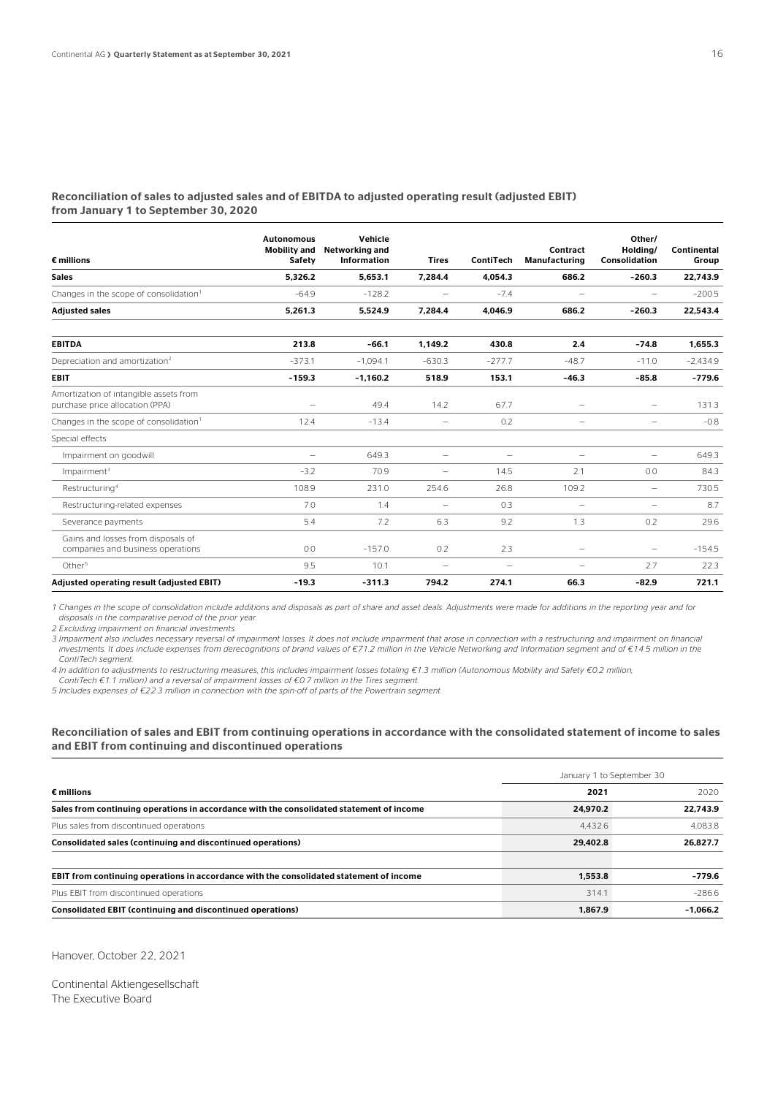#### Reconciliation of sales to adjusted sales and of EBITDA to adjusted operating result (adjusted EBIT) from January 1 to September 30, 2020

| $\epsilon$ millions                                                       | <b>Autonomous</b><br><b>Mobility and</b><br>Safety | Vehicle<br>Networking and<br><b>Information</b> | <b>Tires</b>             | ContiTech                | Contract<br><b>Manufacturing</b> | Other/<br>Holdina/<br><b>Consolidation</b> | Continental<br>Group |
|---------------------------------------------------------------------------|----------------------------------------------------|-------------------------------------------------|--------------------------|--------------------------|----------------------------------|--------------------------------------------|----------------------|
| <b>Sales</b>                                                              | 5.326.2                                            | 5.653.1                                         | 7.284.4                  | 4.054.3                  | 686.2                            | $-260.3$                                   | 22.743.9             |
| Changes in the scope of consolidation <sup>1</sup>                        | $-64.9$                                            | $-128.2$                                        | -                        | $-7.4$                   | $\overline{\phantom{0}}$         | -                                          | $-200.5$             |
| <b>Adjusted sales</b>                                                     | 5,261.3                                            | 5,524.9                                         | 7.284.4                  | 4,046.9                  | 686.2                            | $-260.3$                                   | 22.543.4             |
| <b>EBITDA</b>                                                             | 213.8                                              | $-66.1$                                         | 1.149.2                  | 430.8                    | 2.4                              | $-74.8$                                    | 1.655.3              |
| Depreciation and amortization <sup>2</sup>                                | $-373.1$                                           | $-1.094.1$                                      | $-630.3$                 | $-277.7$                 | $-48.7$                          | $-11.0$                                    | $-2,434.9$           |
| <b>EBIT</b>                                                               | $-159.3$                                           | $-1,160.2$                                      | 518.9                    | 153.1                    | $-46.3$                          | $-85.8$                                    | $-779.6$             |
| Amortization of intangible assets from<br>purchase price allocation (PPA) |                                                    | 49.4                                            | 14.2                     | 67.7                     | -                                | -                                          | 131.3                |
| Changes in the scope of consolidation <sup>1</sup>                        | 12.4                                               | $-13.4$                                         | -                        | 0.2                      | -                                | $\overline{\phantom{0}}$                   | $-0.8$               |
| Special effects                                                           |                                                    |                                                 |                          |                          |                                  |                                            |                      |
| Impairment on goodwill                                                    | $\overline{\phantom{0}}$                           | 649.3                                           | -                        | $\overline{\phantom{m}}$ | $\qquad \qquad$                  | -                                          | 649.3                |
| Impairment <sup>3</sup>                                                   | $-3.2$                                             | 70.9                                            | $\overline{\phantom{0}}$ | 14.5                     | 2.1                              | 0.0                                        | 84.3                 |
| Restructuring <sup>4</sup>                                                | 108.9                                              | 231.0                                           | 254.6                    | 26.8                     | 109.2                            | -                                          | 730.5                |
| Restructuring-related expenses                                            | 7.0                                                | 1.4                                             | $\overline{\phantom{0}}$ | 0.3                      | $\overline{\phantom{a}}$         | $\overline{\phantom{0}}$                   | 8.7                  |
| Severance payments                                                        | 5.4                                                | 7.2                                             | 6.3                      | 9.2                      | 1.3                              | 0.2                                        | 29.6                 |
| Gains and losses from disposals of<br>companies and business operations   | 0.0                                                | $-157.0$                                        | 0.2                      | 2.3                      | $\overline{\phantom{a}}$         | $\overline{\phantom{0}}$                   | $-154.5$             |
| Other <sup>5</sup>                                                        | 9.5                                                | 10.1                                            | $\overline{\phantom{0}}$ | $\overline{\phantom{0}}$ | $\overline{\phantom{0}}$         | 2.7                                        | 22.3                 |
| Adjusted operating result (adjusted EBIT)                                 | $-19.3$                                            | $-311.3$                                        | 794.2                    | 274.1                    | 66.3                             | $-82.9$                                    | 721.1                |

*1 Changes in the scope of consolidation include additions and disposals as part of share and asset deals. Adjustments were made for additions in the reporting year and for disposals in the comparative period of the prior year.* 

*2 Excluding impairment on financial investments.* 

*3 Impairment also includes necessary reversal of impairment losses. It does not include impairment that arose in connection with a restructuring and impairment on financial investments. It does include expenses from derecognitions of brand values of €71.2 million in the Vehicle Networking and Information segment and of €14.5 million in the ContiTech segment.* 

*4 In addition to adjustments to restructuring measures, this includes impairment losses totaling €1.3 million (Autonomous Mobility and Safety €0.2 million;* 

*ContiTech €1.1 million) and a reversal of impairment losses of €0.7 million in the Tires segment.* 

*5 Includes expenses of €22.3 million in connection with the spin-off of parts of the Powertrain segment.* 

#### Reconciliation of sales and EBIT from continuing operations in accordance with the consolidated statement of income to sales and EBIT from continuing and discontinued operations

|                                                                                          | January 1 to September 30 |            |  |  |
|------------------------------------------------------------------------------------------|---------------------------|------------|--|--|
| $\epsilon$ millions                                                                      | 2021                      | 2020       |  |  |
| Sales from continuing operations in accordance with the consolidated statement of income | 24.970.2                  | 22.743.9   |  |  |
| Plus sales from discontinued operations                                                  | 4.432.6                   | 4.083.8    |  |  |
| Consolidated sales (continuing and discontinued operations)                              | 29.402.8                  | 26,827.7   |  |  |
| EBIT from continuing operations in accordance with the consolidated statement of income  | 1.553.8                   | $-779.6$   |  |  |
| Plus EBIT from discontinued operations                                                   | 314.1                     | $-2866$    |  |  |
| Consolidated EBIT (continuing and discontinued operations)                               | 1.867.9                   | $-1.066.2$ |  |  |

Hanover, October 22, 2021

Continental Aktiengesellschaft The Executive Board